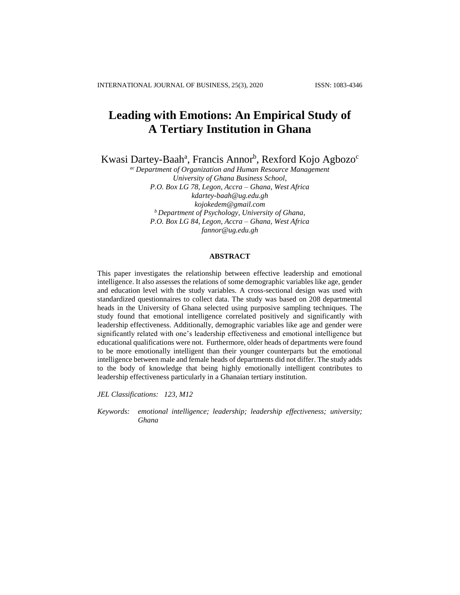# **Leading with Emotions: An Empirical Study of A Tertiary Institution in Ghana**

Kwasi Dartey-Baah<sup>a</sup>, Francis Annor<sup>b</sup>, Rexford Kojo Agbozo<sup>c</sup>

*ac Department of Organization and Human Resource Management University of Ghana Business School, P.O. Box LG 78, Legon, Accra – Ghana, West Africa [kdartey-baah@ug.edu.gh](mailto:kdartey-baah@ug.edu.gh) [kojokedem@gmail.com](mailto:kojokedem@gmail.com) <sup>b</sup> Department of Psychology, University of Ghana, P.O. Box LG 84, Legon, Accra – Ghana, West Africa [fannor@ug.edu.gh](mailto:fannor@ug.edu.gh)*

# **ABSTRACT**

This paper investigates the relationship between effective leadership and emotional intelligence. It also assesses the relations of some demographic variables like age, gender and education level with the study variables. A cross-sectional design was used with standardized questionnaires to collect data. The study was based on 208 departmental heads in the University of Ghana selected using purposive sampling techniques. The study found that emotional intelligence correlated positively and significantly with leadership effectiveness. Additionally, demographic variables like age and gender were significantly related with one's leadership effectiveness and emotional intelligence but educational qualifications were not. Furthermore, older heads of departments were found to be more emotionally intelligent than their younger counterparts but the emotional intelligence between male and female heads of departments did not differ. The study adds to the body of knowledge that being highly emotionally intelligent contributes to leadership effectiveness particularly in a Ghanaian tertiary institution.

*JEL Classifications: 123, M12*

*Keywords: emotional intelligence; leadership; leadership effectiveness; university; Ghana*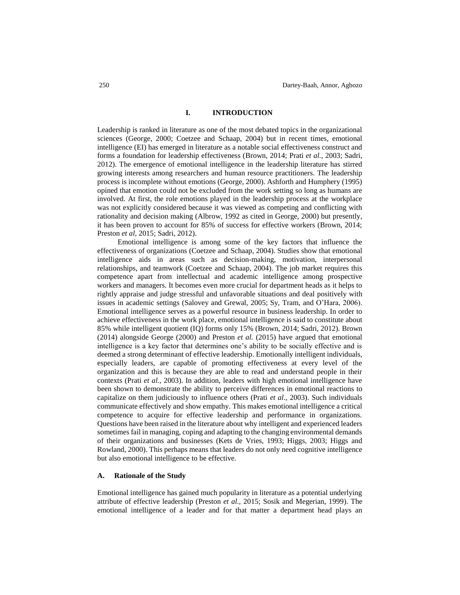### **I. INTRODUCTION**

Leadership is ranked in literature as one of the most debated topics in the organizational sciences (George, 2000; Coetzee and Schaap, 2004) but in recent times, emotional intelligence (EI) has emerged in literature as a notable social effectiveness construct and forms a foundation for leadership effectiveness (Brown, 2014; Prati *et al.,* 2003; Sadri, 2012). The emergence of emotional intelligence in the leadership literature has stirred growing interests among researchers and human resource practitioners. The leadership process is incomplete without emotions (George, 2000). Ashforth and Humphery (1995) opined that emotion could not be excluded from the work setting so long as humans are involved. At first, the role emotions played in the leadership process at the workplace was not explicitly considered because it was viewed as competing and conflicting with rationality and decision making (Albrow, 1992 as cited in George, 2000) but presently, it has been proven to account for 85% of success for effective workers (Brown, 2014; Preston *et al*, 2015; Sadri, 2012).

Emotional intelligence is among some of the key factors that influence the effectiveness of organizations (Coetzee and Schaap, 2004). Studies show that emotional intelligence aids in areas such as decision-making, motivation, interpersonal relationships, and teamwork (Coetzee and Schaap, 2004). The job market requires this competence apart from intellectual and academic intelligence among prospective workers and managers. It becomes even more crucial for department heads as it helps to rightly appraise and judge stressful and unfavorable situations and deal positively with issues in academic settings (Salovey and Grewal, 2005; Sy, Tram, and O'Hara, 2006). Emotional intelligence serves as a powerful resource in business leadership. In order to achieve effectiveness in the work place, emotional intelligence is said to constitute about 85% while intelligent quotient (IQ) forms only 15% (Brown, 2014; Sadri, 2012). Brown (2014) alongside George (2000) and Preston *et al.* (2015) have argued that emotional intelligence is a key factor that determines one's ability to be socially effective and is deemed a strong determinant of effective leadership. Emotionally intelligent individuals, especially leaders, are capable of promoting effectiveness at every level of the organization and this is because they are able to read and understand people in their contexts (Prati *et al.,* 2003). In addition, leaders with high emotional intelligence have been shown to demonstrate the ability to perceive differences in emotional reactions to capitalize on them judiciously to influence others (Prati *et al*., 2003). Such individuals communicate effectively and show empathy. This makes emotional intelligence a critical competence to acquire for effective leadership and performance in organizations. Questions have been raised in the literature about why intelligent and experienced leaders sometimes fail in managing, coping and adapting to the changing environmental demands of their organizations and businesses (Kets de Vries, 1993; Higgs, 2003; Higgs and Rowland, 2000). This perhaps means that leaders do not only need cognitive intelligence but also emotional intelligence to be effective.

## **A. Rationale of the Study**

Emotional intelligence has gained much popularity in literature as a potential underlying attribute of effective leadership (Preston *et al.,* 2015; Sosik and Megerian, 1999). The emotional intelligence of a leader and for that matter a department head plays an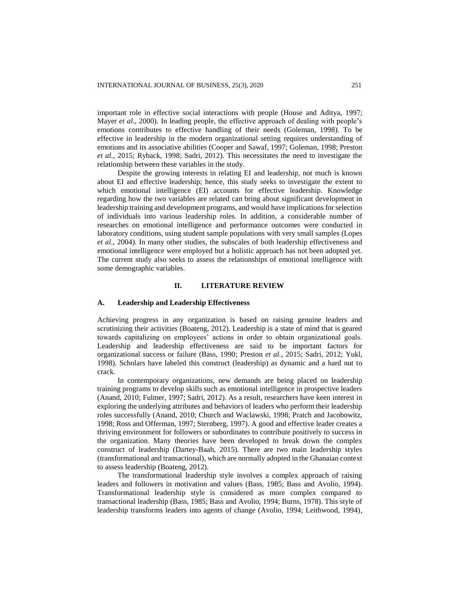important role in effective social interactions with people (House and Aditya, 1997; Mayer *et al*., 2000). In leading people, the effective approach of dealing with people's emotions contributes to effective handling of their needs (Goleman, 1998). To be effective in leadership in the modern organizational setting requires understanding of emotions and its associative abilities (Cooper and Sawaf, 1997; Goleman, 1998; Preston *et al.,* 2015; Ryback, 1998; Sadri, 2012). This necessitates the need to investigate the relationship between these variables in the study.

Despite the growing interests in relating EI and leadership, not much is known about EI and effective leadership; hence, this study seeks to investigate the extent to which emotional intelligence (EI) accounts for effective leadership. Knowledge regarding how the two variables are related can bring about significant development in leadership training and development programs, and would have implications for selection of individuals into various leadership roles. In addition, a considerable number of researches on emotional intelligence and performance outcomes were conducted in laboratory conditions, using student sample populations with very small samples (Lopes *et al*., 2004). In many other studies, the subscales of both leadership effectiveness and emotional intelligence were employed but a holistic approach has not been adopted yet. The current study also seeks to assess the relationships of emotional intelligence with some demographic variables.

### **II. LITERATURE REVIEW**

### **A. Leadership and Leadership Effectiveness**

Achieving progress in any organization is based on raising genuine leaders and scrutinizing their activities (Boateng, 2012). Leadership is a state of mind that is geared towards capitalizing on employees' actions in order to obtain organizational goals. Leadership and leadership effectiveness are said to be important factors for organizational success or failure (Bass, 1990; Preston *et al.,* 2015; Sadri, 2012; Yukl, 1998). Scholars have labeled this construct (leadership) as dynamic and a hard nut to crack.

In contemporary organizations, new demands are being placed on leadership training programs to develop skills such as emotional intelligence in prospective leaders (Anand, 2010; Fulmer, 1997; Sadri, 2012). As a result, researchers have keen interest in exploring the underlying attributes and behaviors of leaders who perform their leadership roles successfully (Anand, 2010; Church and Waclawski, 1998; Pratch and Jacobowitz, 1998; Ross and Offerman, 1997; Sternberg, 1997). A good and effective leader creates a thriving environment for followers or subordinates to contribute positively to success in the organization. Many theories have been developed to break down the complex construct of leadership (Dartey-Baah, 2015). There are two main leadership styles (transformational and transactional), which are normally adopted in the Ghanaian context to assess leadership (Boateng, 2012).

The transformational leadership style involves a complex approach of raising leaders and followers in motivation and values (Bass, 1985; Bass and Avolio, 1994). Transformational leadership style is considered as more complex compared to transactional leadership (Bass, 1985; Bass and Avolio, 1994; Burns, 1978). This style of leadership transforms leaders into agents of change (Avolio, 1994; Leithwood, 1994),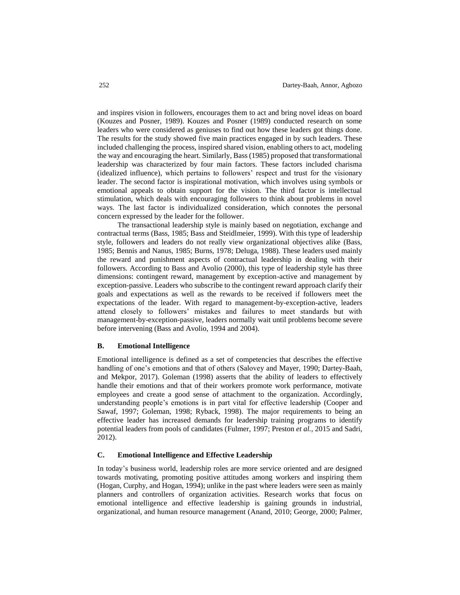and inspires vision in followers, encourages them to act and bring novel ideas on board (Kouzes and Posner, 1989). Kouzes and Posner (1989) conducted research on some leaders who were considered as geniuses to find out how these leaders got things done. The results for the study showed five main practices engaged in by such leaders. These included challenging the process, inspired shared vision, enabling others to act, modeling the way and encouraging the heart. Similarly, Bass (1985) proposed that transformational leadership was characterized by four main factors. These factors included charisma (idealized influence), which pertains to followers' respect and trust for the visionary leader. The second factor is inspirational motivation, which involves using symbols or emotional appeals to obtain support for the vision. The third factor is intellectual stimulation, which deals with encouraging followers to think about problems in novel ways. The last factor is individualized consideration, which connotes the personal concern expressed by the leader for the follower.

The transactional leadership style is mainly based on negotiation, exchange and contractual terms (Bass, 1985; Bass and Steidlmeier, 1999). With this type of leadership style, followers and leaders do not really view organizational objectives alike (Bass, 1985; Bennis and Nanus, 1985; Burns, 1978; Deluga, 1988). These leaders used mainly the reward and punishment aspects of contractual leadership in dealing with their followers. According to Bass and Avolio (2000), this type of leadership style has three dimensions: contingent reward, management by exception-active and management by exception-passive. Leaders who subscribe to the contingent reward approach clarify their goals and expectations as well as the rewards to be received if followers meet the expectations of the leader. With regard to management-by-exception-active, leaders attend closely to followers' mistakes and failures to meet standards but with management-by-exception-passive, leaders normally wait until problems become severe before intervening (Bass and Avolio, 1994 and 2004).

### **B. Emotional Intelligence**

Emotional intelligence is defined as a set of competencies that describes the effective handling of one's emotions and that of others (Salovey and Mayer, 1990; Dartey-Baah, and Mekpor, 2017). Goleman (1998) asserts that the ability of leaders to effectively handle their emotions and that of their workers promote work performance, motivate employees and create a good sense of attachment to the organization. Accordingly, understanding people's emotions is in part vital for effective leadership (Cooper and Sawaf, 1997; Goleman, 1998; Ryback, 1998). The major requirements to being an effective leader has increased demands for leadership training programs to identify potential leaders from pools of candidates (Fulmer, 1997; Preston *et al.,* 2015 and Sadri, 2012).

## **C. Emotional Intelligence and Effective Leadership**

In today's business world, leadership roles are more service oriented and are designed towards motivating, promoting positive attitudes among workers and inspiring them (Hogan, Curphy, and Hogan, 1994); unlike in the past where leaders were seen as mainly planners and controllers of organization activities. Research works that focus on emotional intelligence and effective leadership is gaining grounds in industrial, organizational, and human resource management (Anand, 2010; George, 2000; Palmer,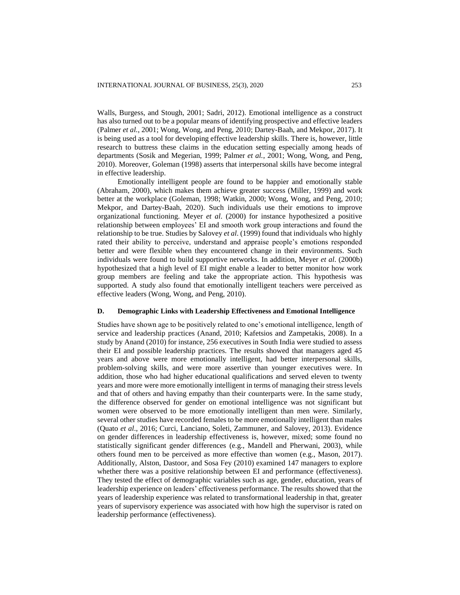Walls, Burgess, and Stough, 2001; Sadri, 2012). Emotional intelligence as a construct has also turned out to be a popular means of identifying prospective and effective leaders (Palmer *et al.*, 2001; Wong, Wong, and Peng, 2010; Dartey-Baah, and Mekpor, 2017). It is being used as a tool for developing effective leadership skills. There is, however, little research to buttress these claims in the education setting especially among heads of departments (Sosik and Megerian, 1999; Palmer *et al.*, 2001; Wong, Wong, and Peng, 2010). Moreover, Goleman (1998) asserts that interpersonal skills have become integral in effective leadership.

Emotionally intelligent people are found to be happier and emotionally stable (Abraham, 2000), which makes them achieve greater success (Miller, 1999) and work better at the workplace (Goleman, 1998; Watkin, 2000; Wong, Wong, and Peng, 2010; Mekpor, and Dartey-Baah, 2020). Such individuals use their emotions to improve organizational functioning. Meyer *et al*. (2000) for instance hypothesized a positive relationship between employees' EI and smooth work group interactions and found the relationship to be true. Studies by Salovey *et al*. (1999) found that individuals who highly rated their ability to perceive, understand and appraise people's emotions responded better and were flexible when they encountered change in their environments. Such individuals were found to build supportive networks. In addition, Meyer *et al*. (2000b) hypothesized that a high level of EI might enable a leader to better monitor how work group members are feeling and take the appropriate action. This hypothesis was supported. A study also found that emotionally intelligent teachers were perceived as effective leaders (Wong, Wong, and Peng, 2010).

### **D. Demographic Links with Leadership Effectiveness and Emotional Intelligence**

Studies have shown age to be positively related to one's emotional intelligence, length of service and leadership practices (Anand, 2010; Kafetsios and Zampetakis, 2008). In a study by Anand (2010) for instance, 256 executives in South India were studied to assess their EI and possible leadership practices. The results showed that managers aged 45 years and above were more emotionally intelligent, had better interpersonal skills, problem-solving skills, and were more assertive than younger executives were. In addition, those who had higher educational qualifications and served eleven to twenty years and more were more emotionally intelligent in terms of managing their stress levels and that of others and having empathy than their counterparts were. In the same study, the difference observed for gender on emotional intelligence was not significant but women were observed to be more emotionally intelligent than men were. Similarly, several other studies have recorded females to be more emotionally intelligent than males (Quato *et al*., 2016; Curci, Lanciano, Soleti, Zammuner, and Salovey, 2013). Evidence on gender differences in leadership effectiveness is, however, mixed; some found no statistically significant gender differences (e.g., Mandell and Pherwani, 2003), while others found men to be perceived as more effective than women (e.g., Mason, 2017). Additionally, Alston, Dastoor, and Sosa Fey (2010) examined 147 managers to explore whether there was a positive relationship between EI and performance (effectiveness). They tested the effect of demographic variables such as age, gender, education, years of leadership experience on leaders' effectiveness performance. The results showed that the years of leadership experience was related to transformational leadership in that, greater years of supervisory experience was associated with how high the supervisor is rated on leadership performance (effectiveness).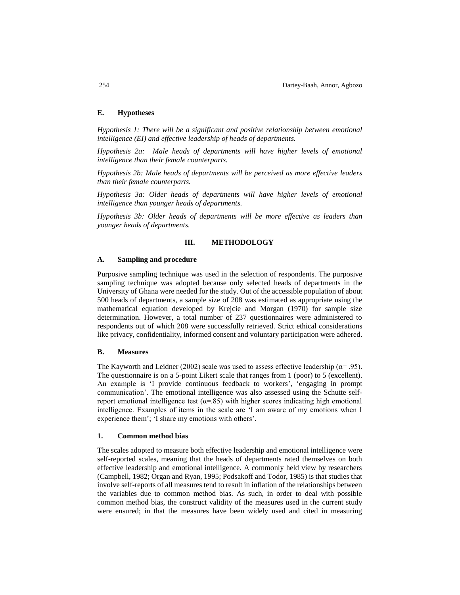### **E. Hypotheses**

*Hypothesis 1: There will be a significant and positive relationship between emotional intelligence (EI) and effective leadership of heads of departments.*

*Hypothesis 2a: Male heads of departments will have higher levels of emotional intelligence than their female counterparts.*

*Hypothesis 2b: Male heads of departments will be perceived as more effective leaders than their female counterparts.*

*Hypothesis 3a: Older heads of departments will have higher levels of emotional intelligence than younger heads of departments.*

*Hypothesis 3b: Older heads of departments will be more effective as leaders than younger heads of departments.*

### **III. METHODOLOGY**

### **A. Sampling and procedure**

Purposive sampling technique was used in the selection of respondents. The purposive sampling technique was adopted because only selected heads of departments in the University of Ghana were needed for the study. Out of the accessible population of about 500 heads of departments, a sample size of 208 was estimated as appropriate using the mathematical equation developed by Krejcie and Morgan (1970) for sample size determination. However, a total number of 237 questionnaires were administered to respondents out of which 208 were successfully retrieved. Strict ethical considerations like privacy, confidentiality, informed consent and voluntary participation were adhered.

# **B. Measures**

The Kayworth and Leidner (2002) scale was used to assess effective leadership ( $\alpha$ = .95). The questionnaire is on a 5-point Likert scale that ranges from 1 (poor) to 5 (excellent). An example is 'I provide continuous feedback to workers', 'engaging in prompt communication'. The emotional intelligence was also assessed using the Schutte selfreport emotional intelligence test ( $\alpha = 0.85$ ) with higher scores indicating high emotional intelligence. Examples of items in the scale are 'I am aware of my emotions when I experience them'; 'I share my emotions with others'.

### **1. Common method bias**

The scales adopted to measure both effective leadership and emotional intelligence were self-reported scales, meaning that the heads of departments rated themselves on both effective leadership and emotional intelligence. A commonly held view by researchers (Campbell, 1982; Organ and Ryan, 1995; Podsakoff and Todor, 1985) is that studies that involve self-reports of all measures tend to result in inflation of the relationships between the variables due to common method bias. As such, in order to deal with possible common method bias, the construct validity of the measures used in the current study were ensured; in that the measures have been widely used and cited in measuring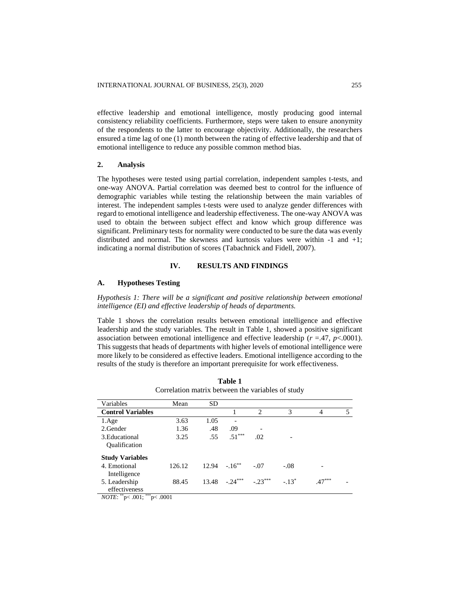effective leadership and emotional intelligence, mostly producing good internal consistency reliability coefficients. Furthermore, steps were taken to ensure anonymity of the respondents to the latter to encourage objectivity. Additionally, the researchers ensured a time lag of one (1) month between the rating of effective leadership and that of emotional intelligence to reduce any possible common method bias.

# **2. Analysis**

The hypotheses were tested using partial correlation, independent samples t-tests, and one-way ANOVA. Partial correlation was deemed best to control for the influence of demographic variables while testing the relationship between the main variables of interest. The independent samples t-tests were used to analyze gender differences with regard to emotional intelligence and leadership effectiveness. The one-way ANOVA was used to obtain the between subject effect and know which group difference was significant. Preliminary tests for normality were conducted to be sure the data was evenly distributed and normal. The skewness and kurtosis values were within -1 and +1; indicating a normal distribution of scores (Tabachnick and Fidell, 2007).

# **IV. RESULTS AND FINDINGS**

### **A. Hypotheses Testing**

*Hypothesis 1: There will be a significant and positive relationship between emotional intelligence (EI) and effective leadership of heads of departments.*

Table 1 shows the correlation results between emotional intelligence and effective leadership and the study variables. The result in Table 1, showed a positive significant association between emotional intelligence and effective leadership ( $r = 47$ ,  $p < .0001$ ). This suggests that heads of departments with higher levels of emotional intelligence were more likely to be considered as effective leaders. Emotional intelligence according to the results of the study is therefore an important prerequisite for work effectiveness.

| Variables                                                                   | Mean   | SD    |                          |                             |         |          |   |
|-----------------------------------------------------------------------------|--------|-------|--------------------------|-----------------------------|---------|----------|---|
| <b>Control Variables</b>                                                    |        |       |                          | $\mathcal{D}_{\mathcal{L}}$ | 3       | 4        | 5 |
| 1.Age                                                                       | 3.63   | 1.05  | $\overline{\phantom{a}}$ |                             |         |          |   |
| 2. Gender                                                                   | 1.36   | .48   | .09                      | -                           |         |          |   |
| 3. Educational<br><b>Qualification</b>                                      | 3.25   | .55   | $.51***$                 | .02                         |         |          |   |
| <b>Study Variables</b>                                                      |        |       |                          |                             |         |          |   |
| 4. Emotional<br>Intelligence                                                | 126.12 |       | $12.94 - 16^{**}$        | $-.07$                      | $-.08$  |          |   |
| 5. Leadership<br>effectiveness<br>***<br>$17.0$ $m$ $n$ $\frac{38}{2}$ 0.01 | 88.45  | 13.48 | $-.24***$                | $-.23***$                   | $-13^*$ | $.47***$ |   |
|                                                                             | 0001   |       |                          |                             |         |          |   |

**Table 1** Correlation matrix between the variables of study

*NOTE*: \*\*p< .001; \*\*\*p< .0001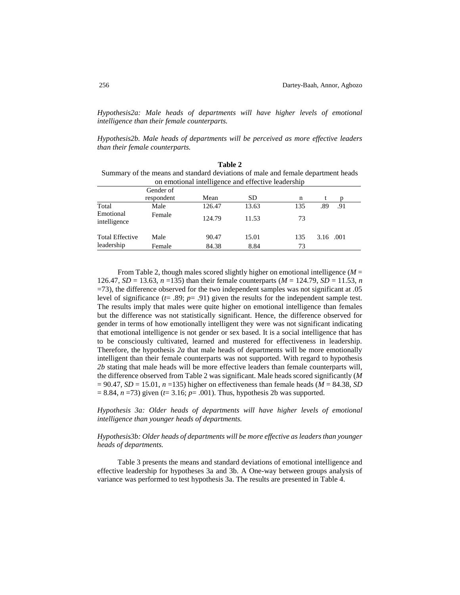*Hypothesis2a: Male heads of departments will have higher levels of emotional intelligence than their female counterparts.*

*Hypothesis2b. Male heads of departments will be perceived as more effective leaders than their female counterparts.*

|                           |                                                                                  | Table 2                                            |           |     |           |     |  |
|---------------------------|----------------------------------------------------------------------------------|----------------------------------------------------|-----------|-----|-----------|-----|--|
|                           | Summary of the means and standard deviations of male and female department heads |                                                    |           |     |           |     |  |
|                           | Gender of                                                                        | on emotional intelligence and effective leadership |           |     |           |     |  |
|                           | respondent                                                                       | Mean                                               | <b>SD</b> | n   |           |     |  |
| Total                     | Male                                                                             | 126.47                                             | 13.63     | 135 | .89       | .91 |  |
| Emotional<br>intelligence | Female                                                                           | 124.79                                             | 11.53     | 73  |           |     |  |
| <b>Total Effective</b>    | Male                                                                             | 90.47                                              | 15.01     | 135 | 3.16 .001 |     |  |
| leadership                | Female                                                                           | 84.38                                              | 8.84      | 73  |           |     |  |

From Table 2, though males scored slightly higher on emotional intelligence (*M* = 126.47, *SD* = 13.63, *n* =135) than their female counterparts (*M* = 124.79, *SD* = 11.53, *n* =73), the difference observed for the two independent samples was not significant at .05 level of significance (*t*= .89; *p*= .91) given the results for the independent sample test. The results imply that males were quite higher on emotional intelligence than females but the difference was not statistically significant. Hence, the difference observed for gender in terms of how emotionally intelligent they were was not significant indicating that emotional intelligence is not gender or sex based. It is a social intelligence that has to be consciously cultivated, learned and mustered for effectiveness in leadership. Therefore, the hypothesis *2a* that male heads of departments will be more emotionally intelligent than their female counterparts was not supported. With regard to hypothesis *2b* stating that male heads will be more effective leaders than female counterparts will, the difference observed from Table 2 was significant. Male heads scored significantly (*M*  = 90.47, *SD* = 15.01, *n* =135) higher on effectiveness than female heads (*M* = 84.38, *SD*  = 8.84, *n* =73) given (*t*= 3.16; *p*= .001). Thus, hypothesis 2b was supported.

*Hypothesis 3a: Older heads of departments will have higher levels of emotional intelligence than younger heads of departments.*

### *Hypothesis3b: Older heads of departments will be more effective as leaders than younger heads of departments.*

Table 3 presents the means and standard deviations of emotional intelligence and effective leadership for hypotheses 3a and 3b. A One-way between groups analysis of variance was performed to test hypothesis 3a. The results are presented in Table 4.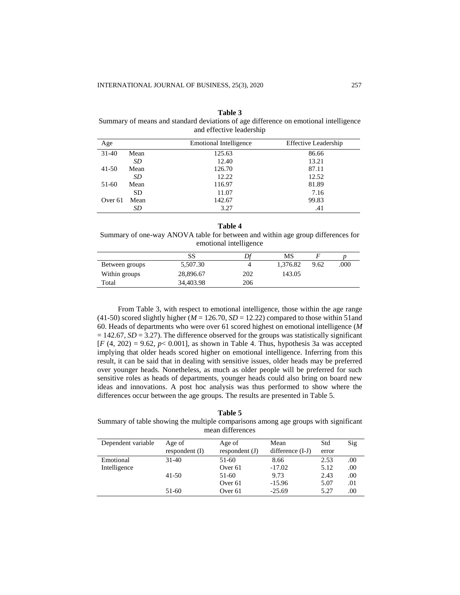| тане э                                                                               |
|--------------------------------------------------------------------------------------|
| Summary of means and standard deviations of age difference on emotional intelligence |
| and effective leadership                                                             |

| Age       |           | <b>Emotional Intelligence</b> | <b>Effective Leadership</b> |
|-----------|-----------|-------------------------------|-----------------------------|
| $31-40$   | Mean      | 125.63                        | 86.66                       |
|           | SD        | 12.40                         | 13.21                       |
| $41 - 50$ | Mean      | 126.70                        | 87.11                       |
|           | SD        | 12.22                         | 12.52                       |
| 51-60     | Mean      | 116.97                        | 81.89                       |
|           | <b>SD</b> | 11.07                         | 7.16                        |
| Over 61   | Mean      | 142.67                        | 99.83                       |
|           | SD        | 3.27                          | .41                         |

# **Table 3**

**Table 4**

Summary of one-way ANOVA table for between and within age group differences for emotional intelligence

|                | SS        |     | МS       |      |      |
|----------------|-----------|-----|----------|------|------|
| Between groups | 5,507.30  |     | 1.376.82 | 9.62 | .000 |
| Within groups  | 28,896.67 | 202 | 143.05   |      |      |
| Total          | 34,403.98 | 206 |          |      |      |

From Table 3, with respect to emotional intelligence, those within the age range (41-50) scored slightly higher ( $M = 126.70$ ,  $SD = 12.22$ ) compared to those within 51and 60. Heads of departments who were over 61 scored highest on emotional intelligence (*M*   $= 142.67$ , *SD* = 3.27). The difference observed for the groups was statistically significant  $[F(4, 202) = 9.62, p < 0.001]$ , as shown in Table 4. Thus, hypothesis 3a was accepted implying that older heads scored higher on emotional intelligence. Inferring from this result, it can be said that in dealing with sensitive issues, older heads may be preferred over younger heads. Nonetheless, as much as older people will be preferred for such sensitive roles as heads of departments, younger heads could also bring on board new ideas and innovations. A post hoc analysis was thus performed to show where the differences occur between the age groups. The results are presented in Table 5.

**Table 5**

Summary of table showing the multiple comparisons among age groups with significant mean differences

| Dependent variable | Age of<br>respondent (I) | Age of<br>respondent (J) | Mean<br>difference $(I-J)$ | Std<br>error | Sig  |
|--------------------|--------------------------|--------------------------|----------------------------|--------------|------|
| Emotional          | $31-40$                  | 51-60                    | 8.66                       | 2.53         | .00. |
| Intelligence       |                          | Over 61                  | $-17.02$                   | 5.12         | .00  |
|                    | $41 - 50$                | 51-60                    | 9.73                       | 2.43         | .00  |
|                    |                          | Over 61                  | $-15.96$                   | 5.07         | .01  |
|                    | 51-60                    | Over 61                  | $-25.69$                   | 5.27         | .00  |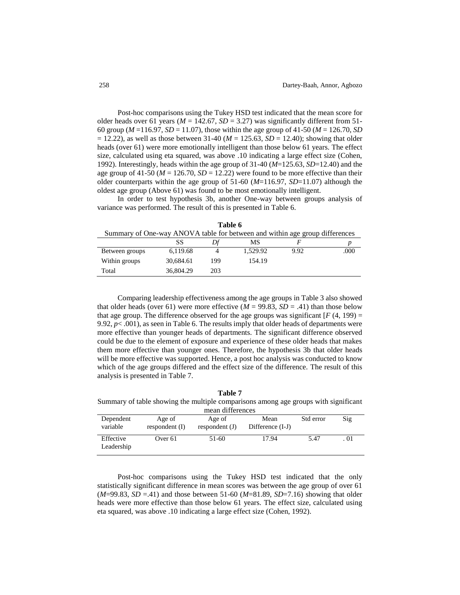Post-hoc comparisons using the Tukey HSD test indicated that the mean score for older heads over 61 years ( $M = 142.67$ ,  $SD = 3.27$ ) was significantly different from 51-60 group (*M* =116.97, *SD* = 11.07), those within the age group of 41-50 (*M* = 126.70, *SD*   $= 12.22$ ), as well as those between 31-40 ( $M = 125.63$ ,  $SD = 12.40$ ); showing that older heads (over 61) were more emotionally intelligent than those below 61 years. The effect size, calculated using eta squared, was above .10 indicating a large effect size (Cohen, 1992). Interestingly, heads within the age group of 31-40 (*M*=125.63, *SD*=12.40) and the age group of 41-50 ( $M = 126.70$ ,  $SD = 12.22$ ) were found to be more effective than their older counterparts within the age group of 51-60 (*M*=116.97, *SD*=11.07) although the oldest age group (Above 61) was found to be most emotionally intelligent.

In order to test hypothesis 3b, another One-way between groups analysis of variance was performed. The result of this is presented in Table 6.

| Summary of One-way ANOVA table for between and within age group differences |           |     |          |      |      |
|-----------------------------------------------------------------------------|-----------|-----|----------|------|------|
|                                                                             | SS        |     | MS       |      |      |
| Between groups                                                              | 6,119.68  |     | 1.529.92 | 9.92 | .000 |
| Within groups                                                               | 30.684.61 | 199 | 154.19   |      |      |
| Total                                                                       | 36,804.29 | 203 |          |      |      |

**Table 6**

Comparing leadership effectiveness among the age groups in Table 3 also showed that older heads (over 61) were more effective  $(M = 99.83, SD = .41)$  than those below that age group. The difference observed for the age groups was significant  $[F(4, 199) =$ 9.92,  $p$ < .001), as seen in Table 6. The results imply that older heads of departments were more effective than younger heads of departments. The significant difference observed could be due to the element of exposure and experience of these older heads that makes them more effective than younger ones. Therefore, the hypothesis 3b that older heads will be more effective was supported. Hence, a post hoc analysis was conducted to know which of the age groups differed and the effect size of the difference. The result of this analysis is presented in Table 7.

**Table 7** Summary of table showing the multiple comparisons among age groups with significant

| mean differences        |                            |                            |                          |           |      |
|-------------------------|----------------------------|----------------------------|--------------------------|-----------|------|
| Dependent<br>variable   | Age of<br>respondent $(I)$ | Age of<br>respondent $(J)$ | Mean<br>Difference (I-J) | Std error | Sig  |
| Effective<br>Leadership | Over 61                    | 51-60                      | 17.94                    | 5.47      | . 01 |

Post-hoc comparisons using the Tukey HSD test indicated that the only statistically significant difference in mean scores was between the age group of over 61 (*M*=99.83, *SD* =.41) and those between 51-60 (*M*=81.89, *SD*=7.16) showing that older heads were more effective than those below 61 years. The effect size, calculated using eta squared, was above .10 indicating a large effect size (Cohen, 1992).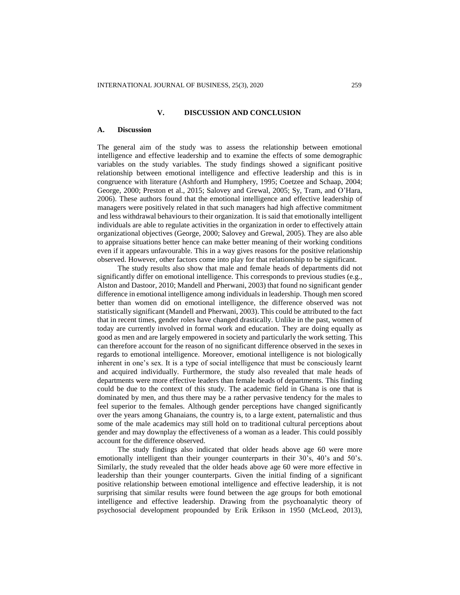### **V. DISCUSSION AND CONCLUSION**

### **A. Discussion**

The general aim of the study was to assess the relationship between emotional intelligence and effective leadership and to examine the effects of some demographic variables on the study variables. The study findings showed a significant positive relationship between emotional intelligence and effective leadership and this is in congruence with literature (Ashforth and Humphery, 1995; Coetzee and Schaap, 2004; George, 2000; Preston et al., 2015; Salovey and Grewal, 2005; Sy, Tram, and O'Hara, 2006). These authors found that the emotional intelligence and effective leadership of managers were positively related in that such managers had high affective commitment and less withdrawal behaviours to their organization. It is said that emotionally intelligent individuals are able to regulate activities in the organization in order to effectively attain organizational objectives (George, 2000; Salovey and Grewal, 2005). They are also able to appraise situations better hence can make better meaning of their working conditions even if it appears unfavourable. This in a way gives reasons for the positive relationship observed. However, other factors come into play for that relationship to be significant.

The study results also show that male and female heads of departments did not significantly differ on emotional intelligence. This corresponds to previous studies (e.g., Alston and Dastoor, 2010; Mandell and Pherwani, 2003) that found no significant gender difference in emotional intelligence among individuals in leadership. Though men scored better than women did on emotional intelligence, the difference observed was not statistically significant (Mandell and Pherwani, 2003). This could be attributed to the fact that in recent times, gender roles have changed drastically. Unlike in the past, women of today are currently involved in formal work and education. They are doing equally as good as men and are largely empowered in society and particularly the work setting. This can therefore account for the reason of no significant difference observed in the sexes in regards to emotional intelligence. Moreover, emotional intelligence is not biologically inherent in one's sex. It is a type of social intelligence that must be consciously learnt and acquired individually. Furthermore, the study also revealed that male heads of departments were more effective leaders than female heads of departments. This finding could be due to the context of this study. The academic field in Ghana is one that is dominated by men, and thus there may be a rather pervasive tendency for the males to feel superior to the females. Although gender perceptions have changed significantly over the years among Ghanaians, the country is, to a large extent, paternalistic and thus some of the male academics may still hold on to traditional cultural perceptions about gender and may downplay the effectiveness of a woman as a leader. This could possibly account for the difference observed.

The study findings also indicated that older heads above age 60 were more emotionally intelligent than their younger counterparts in their 30's, 40's and 50's. Similarly, the study revealed that the older heads above age 60 were more effective in leadership than their younger counterparts. Given the initial finding of a significant positive relationship between emotional intelligence and effective leadership, it is not surprising that similar results were found between the age groups for both emotional intelligence and effective leadership. Drawing from the psychoanalytic theory of psychosocial development propounded by Erik Erikson in 1950 (McLeod, 2013),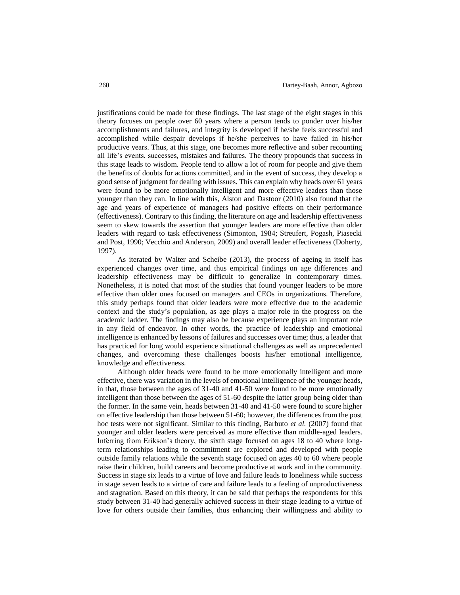justifications could be made for these findings. The last stage of the eight stages in this theory focuses on people over 60 years where a person tends to ponder over his/her accomplishments and failures, and integrity is developed if he/she feels successful and accomplished while despair develops if he/she perceives to have failed in his/her productive years. Thus, at this stage, one becomes more reflective and sober recounting all life's events, successes, mistakes and failures. The theory propounds that success in this stage leads to wisdom. People tend to allow a lot of room for people and give them the benefits of doubts for actions committed, and in the event of success, they develop a good sense of judgment for dealing with issues. This can explain why heads over 61 years were found to be more emotionally intelligent and more effective leaders than those younger than they can. In line with this, Alston and Dastoor (2010) also found that the age and years of experience of managers had positive effects on their performance (effectiveness). Contrary to this finding, the literature on age and leadership effectiveness seem to skew towards the assertion that younger leaders are more effective than older leaders with regard to task effectiveness (Simonton, 1984; Streufert, Pogash, Piasecki and Post, 1990; Vecchio and Anderson, 2009) and overall leader effectiveness (Doherty, 1997).

As iterated by Walter and Scheibe (2013), the process of ageing in itself has experienced changes over time, and thus empirical findings on age differences and leadership effectiveness may be difficult to generalize in contemporary times. Nonetheless, it is noted that most of the studies that found younger leaders to be more effective than older ones focused on managers and CEOs in organizations. Therefore, this study perhaps found that older leaders were more effective due to the academic context and the study's population, as age plays a major role in the progress on the academic ladder. The findings may also be because experience plays an important role in any field of endeavor. In other words, the practice of leadership and emotional intelligence is enhanced by lessons of failures and successes over time; thus, a leader that has practiced for long would experience situational challenges as well as unprecedented changes, and overcoming these challenges boosts his/her emotional intelligence, knowledge and effectiveness.

Although older heads were found to be more emotionally intelligent and more effective, there was variation in the levels of emotional intelligence of the younger heads, in that, those between the ages of 31-40 and 41-50 were found to be more emotionally intelligent than those between the ages of 51-60 despite the latter group being older than the former. In the same vein, heads between 31-40 and 41-50 were found to score higher on effective leadership than those between 51-60; however, the differences from the post hoc tests were not significant. Similar to this finding, Barbuto *et al.* (2007) found that younger and older leaders were perceived as more effective than middle-aged leaders. Inferring from Erikson's theory, the sixth stage focused on ages 18 to 40 where longterm relationships leading to commitment are explored and developed with people outside family relations while the seventh stage focused on ages 40 to 60 where people raise their children, build careers and become productive at work and in the community. Success in stage six leads to a virtue of love and failure leads to loneliness while success in stage seven leads to a virtue of care and failure leads to a feeling of unproductiveness and stagnation. Based on this theory, it can be said that perhaps the respondents for this study between 31-40 had generally achieved success in their stage leading to a virtue of love for others outside their families, thus enhancing their willingness and ability to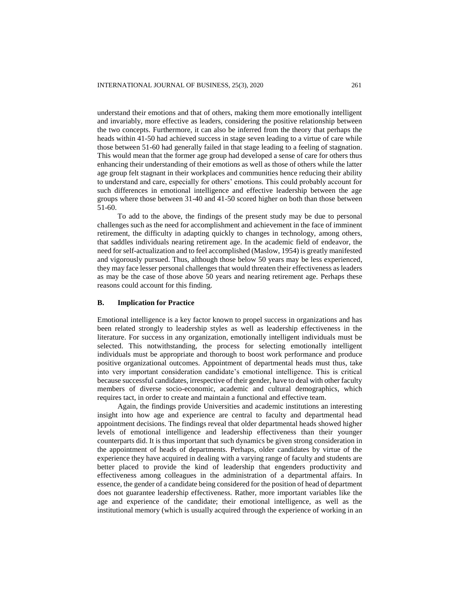understand their emotions and that of others, making them more emotionally intelligent and invariably, more effective as leaders, considering the positive relationship between the two concepts. Furthermore, it can also be inferred from the theory that perhaps the heads within 41-50 had achieved success in stage seven leading to a virtue of care while those between 51-60 had generally failed in that stage leading to a feeling of stagnation. This would mean that the former age group had developed a sense of care for others thus enhancing their understanding of their emotions as well as those of others while the latter age group felt stagnant in their workplaces and communities hence reducing their ability to understand and care, especially for others' emotions. This could probably account for such differences in emotional intelligence and effective leadership between the age groups where those between 31-40 and 41-50 scored higher on both than those between 51-60.

To add to the above, the findings of the present study may be due to personal challenges such as the need for accomplishment and achievement in the face of imminent retirement, the difficulty in adapting quickly to changes in technology, among others, that saddles individuals nearing retirement age. In the academic field of endeavor, the need for self-actualization and to feel accomplished (Maslow, 1954) is greatly manifested and vigorously pursued. Thus, although those below 50 years may be less experienced, they may face lesser personal challenges that would threaten their effectiveness as leaders as may be the case of those above 50 years and nearing retirement age. Perhaps these reasons could account for this finding.

### **B. Implication for Practice**

Emotional intelligence is a key factor known to propel success in organizations and has been related strongly to leadership styles as well as leadership effectiveness in the literature. For success in any organization, emotionally intelligent individuals must be selected. This notwithstanding, the process for selecting emotionally intelligent individuals must be appropriate and thorough to boost work performance and produce positive organizational outcomes. Appointment of departmental heads must thus, take into very important consideration candidate's emotional intelligence. This is critical because successful candidates, irrespective of their gender, have to deal with other faculty members of diverse socio-economic, academic and cultural demographics, which requires tact, in order to create and maintain a functional and effective team.

Again, the findings provide Universities and academic institutions an interesting insight into how age and experience are central to faculty and departmental head appointment decisions. The findings reveal that older departmental heads showed higher levels of emotional intelligence and leadership effectiveness than their younger counterparts did. It is thus important that such dynamics be given strong consideration in the appointment of heads of departments. Perhaps, older candidates by virtue of the experience they have acquired in dealing with a varying range of faculty and students are better placed to provide the kind of leadership that engenders productivity and effectiveness among colleagues in the administration of a departmental affairs. In essence, the gender of a candidate being considered for the position of head of department does not guarantee leadership effectiveness. Rather, more important variables like the age and experience of the candidate; their emotional intelligence, as well as the institutional memory (which is usually acquired through the experience of working in an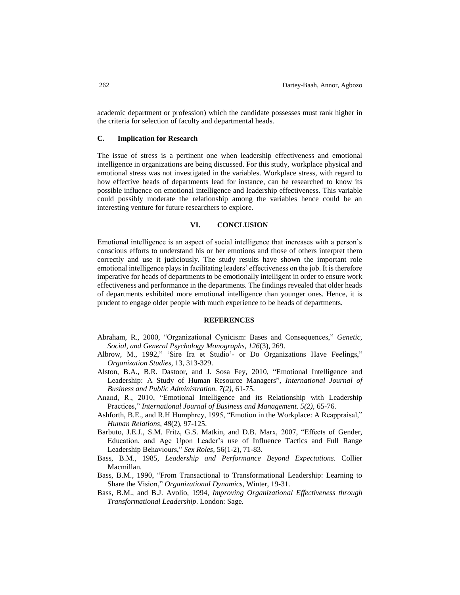academic department or profession) which the candidate possesses must rank higher in the criteria for selection of faculty and departmental heads.

### **C. Implication for Research**

The issue of stress is a pertinent one when leadership effectiveness and emotional intelligence in organizations are being discussed. For this study, workplace physical and emotional stress was not investigated in the variables. Workplace stress, with regard to how effective heads of departments lead for instance, can be researched to know its possible influence on emotional intelligence and leadership effectiveness. This variable could possibly moderate the relationship among the variables hence could be an interesting venture for future researchers to explore.

### **VI. CONCLUSION**

Emotional intelligence is an aspect of social intelligence that increases with a person's conscious efforts to understand his or her emotions and those of others interpret them correctly and use it judiciously. The study results have shown the important role emotional intelligence plays in facilitating leaders' effectiveness on the job. It is therefore imperative for heads of departments to be emotionally intelligent in order to ensure work effectiveness and performance in the departments. The findings revealed that older heads of departments exhibited more emotional intelligence than younger ones. Hence, it is prudent to engage older people with much experience to be heads of departments.

### **REFERENCES**

- Abraham, R., 2000, "Organizational Cynicism: Bases and Consequences," *Genetic, Social, and General Psychology Monographs*, *126*(3), 269.
- Albrow, M., 1992," 'Sire Ira et Studio'- or Do Organizations Have Feelings," *Organization Studies*, 13, 313-329.
- Alston, B.A., B.R. Dastoor, and J. Sosa Fey, 2010, "Emotional Intelligence and Leadership: A Study of Human Resource Managers", *International Journal of Business and Public Administration. 7(2),* 61-75.
- Anand, R., 2010, "Emotional Intelligence and its Relationship with Leadership Practices," *International Journal of Business and Management. 5(2),* 65-76.
- Ashforth, B.E., and R.H Humphrey, 1995, "Emotion in the Workplace: A Reappraisal," *Human Relations*, *48*(2), 97-125.
- Barbuto, J.E.J., S.M. Fritz, G.S. Matkin, and D.B. Marx, 2007, "Effects of Gender, Education, and Age Upon Leader's use of Influence Tactics and Full Range Leadership Behaviours," *Sex Roles,* 56(1-2), 71-83.
- Bass, B.M., 1985, *Leadership and Performance Beyond Expectations*. Collier Macmillan.
- Bass, B.M., 1990, "From Transactional to Transformational Leadership: Learning to Share the Vision," *Organizational Dynamics*, Winter, 19-31.
- Bass, B.M., and B.J. Avolio, 1994, *Improving Organizational Effectiveness through Transformational Leadership*. London: Sage.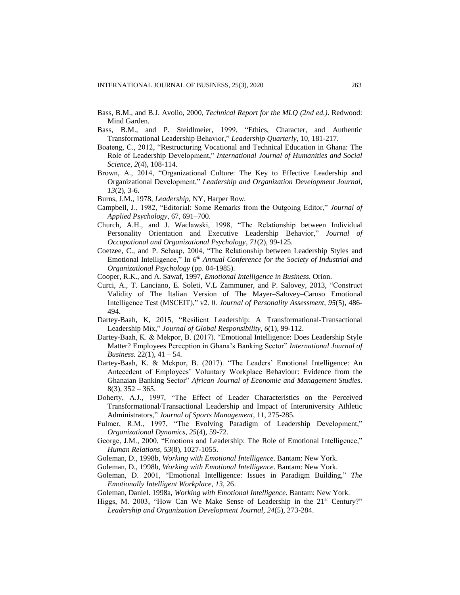- Bass, B.M., and B.J. Avolio, 2000, *Technical Report for the MLQ (2nd ed.)*. Redwood: Mind Garden.
- Bass, B.M., and P. Steidlmeier, 1999, "Ethics, Character, and Authentic Transformational Leadership Behavior," *Leadership Quarterly*, 10, 181-217.
- Boateng, C., 2012, "Restructuring Vocational and Technical Education in Ghana: The Role of Leadership Development," *International Journal of Humanities and Social Science*, *2*(4), 108-114.
- Brown, A., 2014, "Organizational Culture: The Key to Effective Leadership and Organizational Development," *Leadership and Organization Development Journal*, *13*(2), 3-6.
- Burns, J.M., 1978, *Leadership*, NY, Harper Row.
- Campbell, J., 1982, "Editorial: Some Remarks from the Outgoing Editor," *Journal of Applied Psychology*, 67, 691–700.
- Church, A.H., and J. Waclawski, 1998, "The Relationship between Individual Personality Orientation and Executive Leadership Behavior," *Journal of Occupational and Organizational Psychology*, *71*(2), 99-125.
- Coetzee, C., and P. Schaap, 2004, "The Relationship between Leadership Styles and Emotional Intelligence," In *6 th Annual Conference for the Society of Industrial and Organizational Psychology* (pp. 04-1985).
- Cooper, R.K., and A. Sawaf, 1997, *Emotional Intelligence in Business*. Orion.
- Curci, A., T. Lanciano, E. Soleti, V.L Zammuner, and P. Salovey, 2013, "Construct Validity of The Italian Version of The Mayer–Salovey–Caruso Emotional Intelligence Test (MSCEIT)," v2. 0. *Journal of Personality Assessment*, *95*(5), 486- 494.
- Dartey-Baah, K, 2015, "Resilient Leadership: A Transformational-Transactional Leadership Mix," *Journal of Global Responsibility*, *6*(1), 99-112.
- Dartey-Baah, K. & Mekpor, B. (2017). "Emotional Intelligence: Does Leadership Style Matter? Employees Perception in Ghana's Banking Sector" *International Journal of Business.* 22(1), 41 – 54.
- Dartey-Baah, K. & Mekpor, B. (2017). "The Leaders' Emotional Intelligence: An Antecedent of Employees' Voluntary Workplace Behaviour: Evidence from the Ghanaian Banking Sector" *African Journal of Economic and Management Studies*.  $8(3)$ ,  $352 - 365$ .
- Doherty, A.J., 1997, "The Effect of Leader Characteristics on the Perceived Transformational/Transactional Leadership and Impact of Interuniversity Athletic Administrators," *Journal of Sports Management*, 11, 275-285.
- Fulmer, R.M., 1997, "The Evolving Paradigm of Leadership Development," *Organizational Dynamics*, *25*(4), 59-72.
- George, J.M., 2000, "Emotions and Leadership: The Role of Emotional Intelligence," *Human Relations*, *53*(8), 1027-1055.
- Goleman, D., 1998b, *Working with Emotional Intelligence*. Bantam: New York.
- Goleman, D., 1998b, *Working with Emotional Intelligence*. Bantam: New York.
- Goleman, D. 2001, "Emotional Intelligence: Issues in Paradigm Building," *The Emotionally Intelligent Workplace*, *13*, 26.
- Goleman, Daniel. 1998a, *Working with Emotional Intelligence*. Bantam: New York.
- Higgs, M. 2003, "How Can We Make Sense of Leadership in the  $21<sup>st</sup>$  Century?" *Leadership and Organization Development Journal*, *24*(5), 273-284.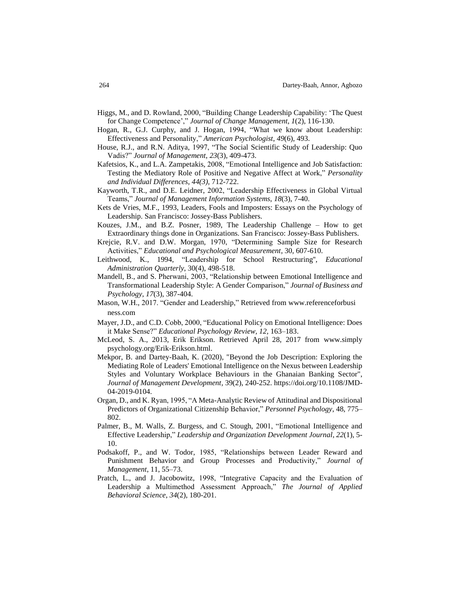- Higgs, M., and D. Rowland, 2000, "Building Change Leadership Capability: 'The Quest for Change Competence'," *Journal of Change Management*, *1*(2), 116-130.
- Hogan, R., G.J. Curphy, and J. Hogan, 1994, "What we know about Leadership: Effectiveness and Personality," *American Psychologist*, *49*(6), 493.
- House, R.J., and R.N. Aditya, 1997, "The Social Scientific Study of Leadership: Quo Vadis?" *Journal of Management*, *23*(3), 409-473.
- Kafetsios, K., and L.A. Zampetakis, 2008, "Emotional Intelligence and Job Satisfaction: Testing the Mediatory Role of Positive and Negative Affect at Work," *Personality and Individual Differences*, *44(3),* 712-722.
- Kayworth, T.R., and D.E. Leidner, 2002, "Leadership Effectiveness in Global Virtual Teams," *Journal of Management Information Systems*, *18*(3), 7-40.
- Kets de Vries, M.F., 1993, Leaders, Fools and Imposters: Essays on the Psychology of Leadership. San Francisco: Jossey-Bass Publishers.
- Kouzes, J.M., and B.Z. Posner, 1989, The Leadership Challenge How to get Extraordinary things done in Organizations. San Francisco: Jossey-Bass Publishers.
- Krejcie, R.V. and D.W. Morgan, 1970, "Determining Sample Size for Research Activities," *Educational and Psychological Measurement*, 30, 607-610.
- Leithwood, K., 1994, "Leadership for School Restructuring'', *Educational Administration Quarterly*, 30(4), 498-518.
- Mandell, B., and S. Pherwani, 2003, "Relationship between Emotional Intelligence and Transformational Leadership Style: A Gender Comparison," *Journal of Business and Psychology*, *17*(3), 387-404.
- Mason, W.H., 2017. "Gender and Leadership," Retrieved from www.referenceforbusi ness.com
- Mayer, J.D., and C.D. Cobb, 2000, "Educational Policy on Emotional Intelligence: Does it Make Sense?" *Educational Psychology Review, 12,* 163–183.
- McLeod, S. A., 2013, Erik Erikson. Retrieved April 28, 2017 from [www.simply](http://www.simply/) psychology.org/Erik-Erikson.html.
- [Mekpor, B.](https://www.emerald.com/insight/search?q=Benjamin%20Mekpor) and [Dartey-Baah, K.](https://www.emerald.com/insight/search?q=Kwasi%20Dartey-Baah) (2020), "Beyond the Job Description: Exploring the Mediating Role of Leaders' Emotional Intelligence on the Nexus between Leadership Styles and Voluntary Workplace Behaviours in the Ghanaian Banking Sector", *[Journal of Management Development,](https://www.emerald.com/insight/publication/issn/0262-1711)* 39(2), 240-252[. https://doi.org/10.1108/JMD-](https://doi.org/10.1108/JMD-04-2019-0104)[04-2019-0104.](https://doi.org/10.1108/JMD-04-2019-0104)
- Organ, D., and K. Ryan, 1995, "A Meta-Analytic Review of Attitudinal and Dispositional Predictors of Organizational Citizenship Behavior," *Personnel Psychology*, 48, 775– 802.
- Palmer, B., M. Walls, Z. Burgess, and C. Stough, 2001, "Emotional Intelligence and Effective Leadership," *Leadership and Organization Development Journal*, *22*(1), 5- 10.
- Podsakoff, P., and W. Todor, 1985, "Relationships between Leader Reward and Punishment Behavior and Group Processes and Productivity," *Journal of Management*, 11, 55–73.
- Pratch, L., and J. Jacobowitz, 1998, "Integrative Capacity and the Evaluation of Leadership a Multimethod Assessment Approach," *The Journal of Applied Behavioral Science*, *34*(2), 180-201.